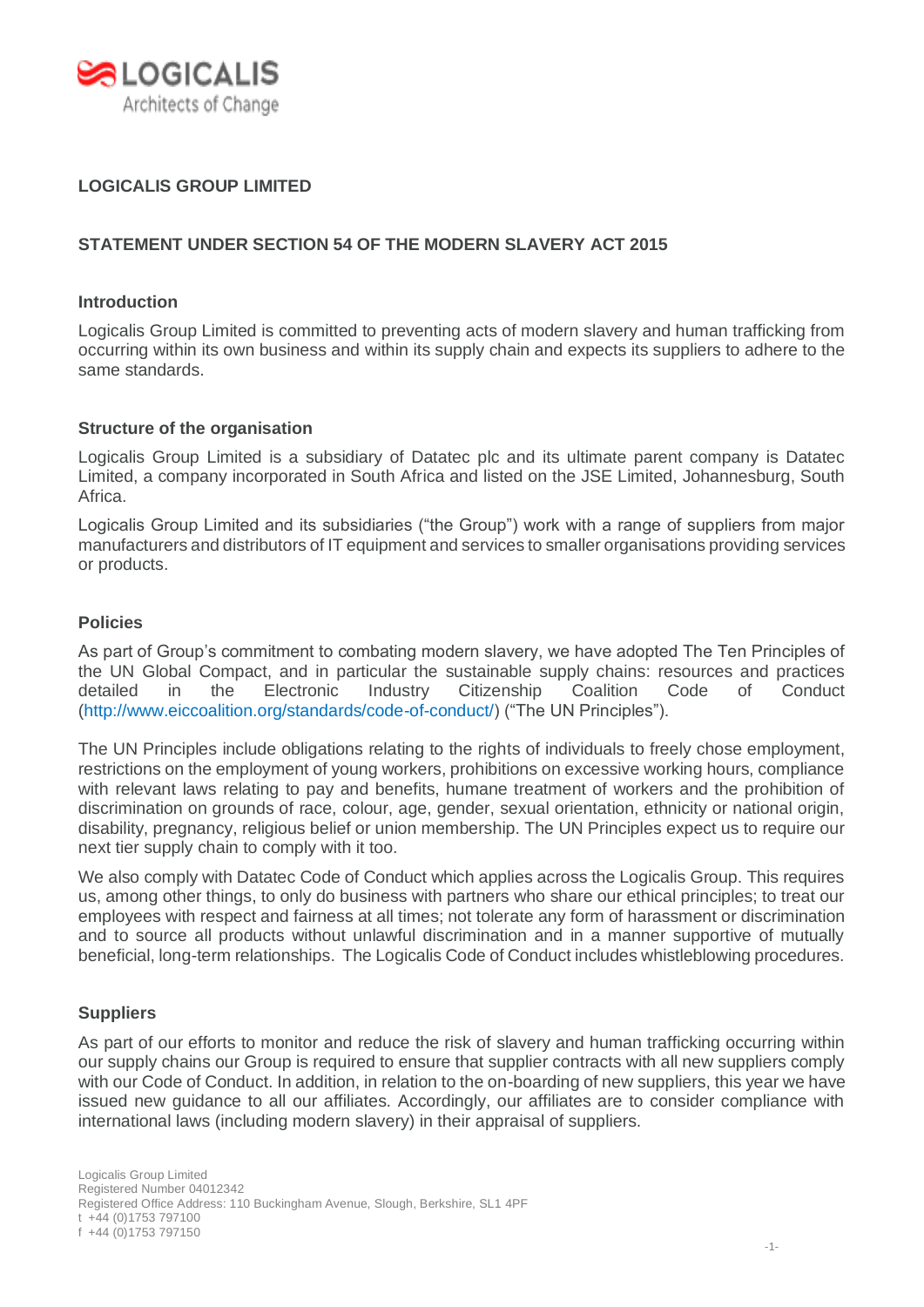

# **LOGICALIS GROUP LIMITED**

# **STATEMENT UNDER SECTION 54 OF THE MODERN SLAVERY ACT 2015**

#### **Introduction**

Logicalis Group Limited is committed to preventing acts of modern slavery and human trafficking from occurring within its own business and within its supply chain and expects its suppliers to adhere to the same standards.

#### **Structure of the organisation**

Logicalis Group Limited is a subsidiary of Datatec plc and its ultimate parent company is Datatec Limited, a company incorporated in South Africa and listed on the JSE Limited, Johannesburg, South Africa.

Logicalis Group Limited and its subsidiaries ("the Group") work with a range of suppliers from major manufacturers and distributors of IT equipment and services to smaller organisations providing services or products.

#### **Policies**

As part of Group's commitment to combating modern slavery, we have adopted The Ten Principles of the UN Global Compact, and in particular the sustainable supply chains: resources and practices detailed in the Electronic Industry Citizenship Coalition Code of Conduct (http://www.eiccoalition.org/standards/code-of-conduct/) ("The UN Principles").

The UN Principles include obligations relating to the rights of individuals to freely chose employment, restrictions on the employment of young workers, prohibitions on excessive working hours, compliance with relevant laws relating to pay and benefits, humane treatment of workers and the prohibition of discrimination on grounds of race, colour, age, gender, sexual orientation, ethnicity or national origin, disability, pregnancy, religious belief or union membership. The UN Principles expect us to require our next tier supply chain to comply with it too.

We also comply with Datatec Code of Conduct which applies across the Logicalis Group. This requires us, among other things, to only do business with partners who share our ethical principles; to treat our employees with respect and fairness at all times; not tolerate any form of harassment or discrimination and to source all products without unlawful discrimination and in a manner supportive of mutually beneficial, long-term relationships. The Logicalis Code of Conduct includes whistleblowing procedures.

#### **Suppliers**

As part of our efforts to monitor and reduce the risk of slavery and human trafficking occurring within our supply chains our Group is required to ensure that supplier contracts with all new suppliers comply with our Code of Conduct. In addition, in relation to the on-boarding of new suppliers, this year we have issued new guidance to all our affiliates. Accordingly, our affiliates are to consider compliance with international laws (including modern slavery) in their appraisal of suppliers.